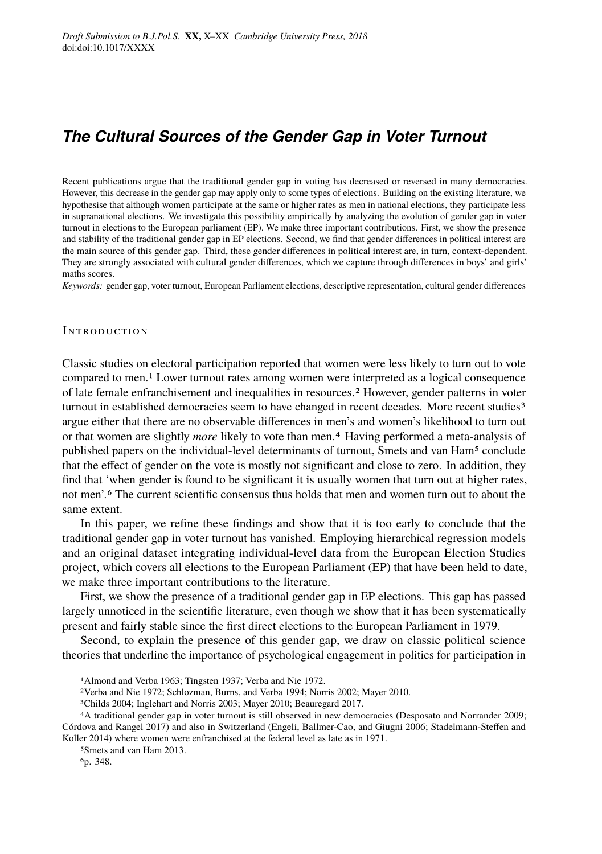# *The Cultural Sources of the Gender Gap in Voter Turnout*

Recent publications argue that the traditional gender gap in voting has decreased or reversed in many democracies. However, this decrease in the gender gap may apply only to some types of elections. Building on the existing literature, we hypothesise that although women participate at the same or higher rates as men in national elections, they participate less in supranational elections. We investigate this possibility empirically by analyzing the evolution of gender gap in voter turnout in elections to the European parliament (EP). We make three important contributions. First, we show the presence and stability of the traditional gender gap in EP elections. Second, we find that gender differences in political interest are the main source of this gender gap. Third, these gender differences in political interest are, in turn, context-dependent. They are strongly associated with cultural gender differences, which we capture through differences in boys' and girls' maths scores.

*Keywords:* gender gap, voter turnout, European Parliament elections, descriptive representation, cultural gender differences

#### **INTRODUCTION**

Classic studies on electoral participation reported that women were less likely to turn out to vote compared to men.1 Lower turnout rates among women were interpreted as a logical consequence of late female enfranchisement and inequalities in resources.2 However, gender patterns in voter turnout in established democracies seem to have changed in recent decades. More recent studies<sup>3</sup> argue either that there are no observable differences in men's and women's likelihood to turn out or that women are slightly *more* likely to vote than men.4 Having performed a meta-analysis of published papers on the individual-level determinants of turnout, Smets and van Ham5 conclude that the effect of gender on the vote is mostly not significant and close to zero. In addition, they find that 'when gender is found to be significant it is usually women that turn out at higher rates, not men'.6 The current scientific consensus thus holds that men and women turn out to about the same extent.

In this paper, we refine these findings and show that it is too early to conclude that the traditional gender gap in voter turnout has vanished. Employing hierarchical regression models and an original dataset integrating individual-level data from the European Election Studies project, which covers all elections to the European Parliament (EP) that have been held to date, we make three important contributions to the literature.

First, we show the presence of a traditional gender gap in EP elections. This gap has passed largely unnoticed in the scientific literature, even though we show that it has been systematically present and fairly stable since the first direct elections to the European Parliament in 1979.

Second, to explain the presence of this gender gap, we draw on classic political science theories that underline the importance of psychological engagement in politics for participation in

<sup>1</sup>Almond and Verba 1963; Tingsten 1937; Verba and Nie 1972.

<sup>2</sup>Verba and Nie 1972; Schlozman, Burns, and Verba 1994; Norris 2002; Mayer 2010.

<sup>3</sup>Childs 2004; Inglehart and Norris 2003; Mayer 2010; Beauregard 2017.

<sup>4</sup>A traditional gender gap in voter turnout is still observed in new democracies (Desposato and Norrander 2009; Córdova and Rangel 2017) and also in Switzerland (Engeli, Ballmer-Cao, and Giugni 2006; Stadelmann-Steffen and Koller 2014) where women were enfranchised at the federal level as late as in 1971.

<sup>5</sup>Smets and van Ham 2013.

<sup>6</sup>p. 348.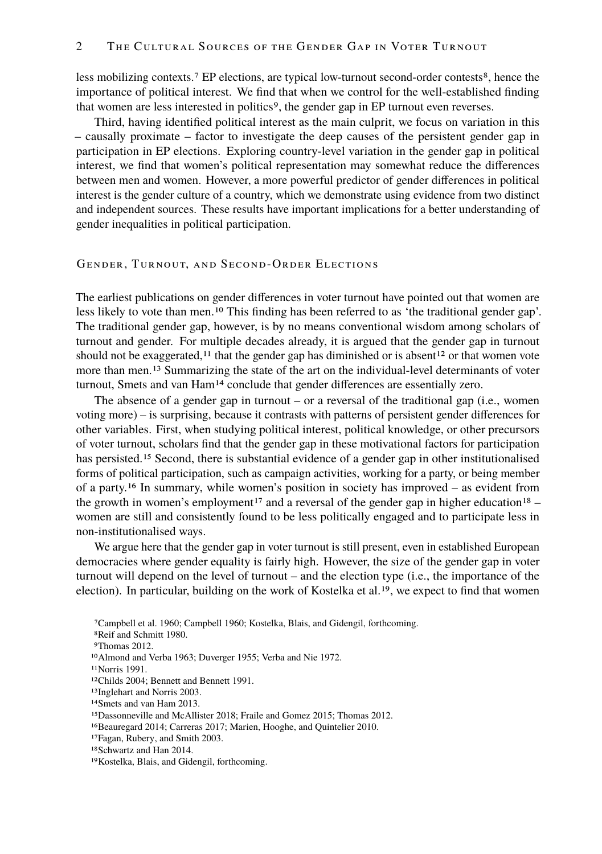less mobilizing contexts.<sup>7</sup> EP elections, are typical low-turnout second-order contests<sup>8</sup>, hence the importance of political interest. We find that when we control for the well-established finding that women are less interested in politics<sup>9</sup>, the gender gap in EP turnout even reverses.

Third, having identified political interest as the main culprit, we focus on variation in this – causally proximate – factor to investigate the deep causes of the persistent gender gap in participation in EP elections. Exploring country-level variation in the gender gap in political interest, we find that women's political representation may somewhat reduce the differences between men and women. However, a more powerful predictor of gender differences in political interest is the gender culture of a country, which we demonstrate using evidence from two distinct and independent sources. These results have important implications for a better understanding of gender inequalities in political participation.

#### GENDER, TURNOUT, AND SECOND-ORDER ELECTIONS

The earliest publications on gender differences in voter turnout have pointed out that women are less likely to vote than men.10 This finding has been referred to as 'the traditional gender gap'. The traditional gender gap, however, is by no means conventional wisdom among scholars of turnout and gender. For multiple decades already, it is argued that the gender gap in turnout should not be exaggerated,<sup>11</sup> that the gender gap has diminished or is absent<sup>12</sup> or that women vote more than men.<sup>13</sup> Summarizing the state of the art on the individual-level determinants of voter turnout, Smets and van Ham<sup>14</sup> conclude that gender differences are essentially zero.

The absence of a gender gap in turnout – or a reversal of the traditional gap (i.e., women voting more) – is surprising, because it contrasts with patterns of persistent gender differences for other variables. First, when studying political interest, political knowledge, or other precursors of voter turnout, scholars find that the gender gap in these motivational factors for participation has persisted.<sup>15</sup> Second, there is substantial evidence of a gender gap in other institutionalised forms of political participation, such as campaign activities, working for a party, or being member of a party.16 In summary, while women's position in society has improved – as evident from the growth in women's employment<sup>17</sup> and a reversal of the gender gap in higher education<sup>18</sup> – women are still and consistently found to be less politically engaged and to participate less in non-institutionalised ways.

We argue here that the gender gap in voter turnout is still present, even in established European democracies where gender equality is fairly high. However, the size of the gender gap in voter turnout will depend on the level of turnout – and the election type (i.e., the importance of the election). In particular, building on the work of Kostelka et al.19, we expect to find that women

17Fagan, Rubery, and Smith 2003.

<sup>7</sup>Campbell et al. 1960; Campbell 1960; Kostelka, Blais, and Gidengil, forthcoming.

<sup>8</sup>Reif and Schmitt 1980.

<sup>9</sup>Thomas 2012.

<sup>10</sup>Almond and Verba 1963; Duverger 1955; Verba and Nie 1972.

<sup>11</sup>Norris 1991.

<sup>12</sup>Childs 2004; Bennett and Bennett 1991.

<sup>13</sup>Inglehart and Norris 2003.

<sup>14</sup>Smets and van Ham 2013.

<sup>15</sup>Dassonneville and McAllister 2018; Fraile and Gomez 2015; Thomas 2012.

<sup>16</sup>Beauregard 2014; Carreras 2017; Marien, Hooghe, and Quintelier 2010.

<sup>18</sup>Schwartz and Han 2014.

<sup>19</sup>Kostelka, Blais, and Gidengil, forthcoming.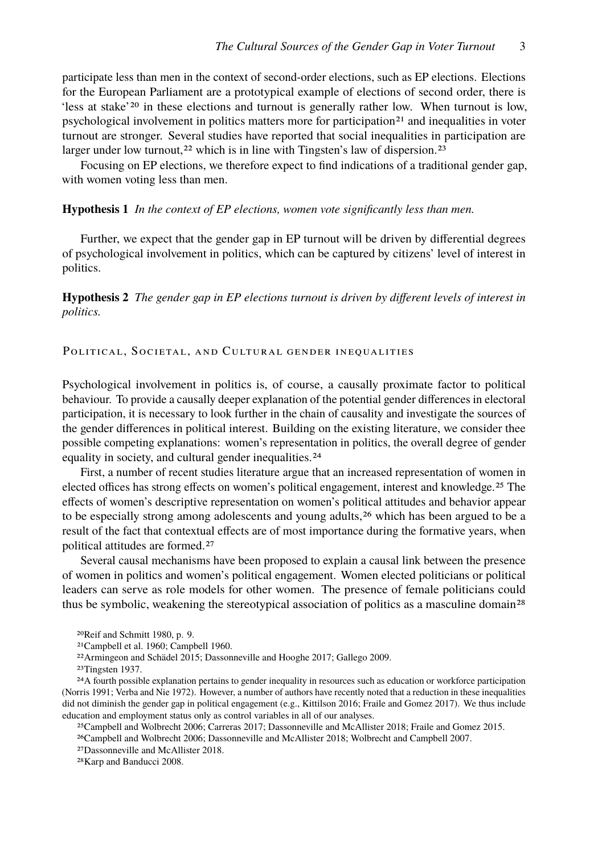participate less than men in the context of second-order elections, such as EP elections. Elections for the European Parliament are a prototypical example of elections of second order, there is 'less at stake'20 in these elections and turnout is generally rather low. When turnout is low, psychological involvement in politics matters more for participation<sup>21</sup> and inequalities in voter turnout are stronger. Several studies have reported that social inequalities in participation are larger under low turnout,<sup>22</sup> which is in line with Tingsten's law of dispersion.<sup>23</sup>

Focusing on EP elections, we therefore expect to find indications of a traditional gender gap, with women voting less than men.

#### **Hypothesis 1** *In the context of EP elections, women vote significantly less than men.*

Further, we expect that the gender gap in EP turnout will be driven by differential degrees of psychological involvement in politics, which can be captured by citizens' level of interest in politics.

**Hypothesis 2** *The gender gap in EP elections turnout is driven by different levels of interest in politics.*

POLITICAL, SOCIETAL, AND CULTURAL GENDER INEQUALITIES

Psychological involvement in politics is, of course, a causally proximate factor to political behaviour. To provide a causally deeper explanation of the potential gender differences in electoral participation, it is necessary to look further in the chain of causality and investigate the sources of the gender differences in political interest. Building on the existing literature, we consider thee possible competing explanations: women's representation in politics, the overall degree of gender equality in society, and cultural gender inequalities.<sup>24</sup>

First, a number of recent studies literature argue that an increased representation of women in elected offices has strong effects on women's political engagement, interest and knowledge.25 The effects of women's descriptive representation on women's political attitudes and behavior appear to be especially strong among adolescents and young adults,<sup>26</sup> which has been argued to be a result of the fact that contextual effects are of most importance during the formative years, when political attitudes are formed.27

Several causal mechanisms have been proposed to explain a causal link between the presence of women in politics and women's political engagement. Women elected politicians or political leaders can serve as role models for other women. The presence of female politicians could thus be symbolic, weakening the stereotypical association of politics as a masculine domain<sup>28</sup>

<sup>20</sup>Reif and Schmitt 1980, p. 9.

<sup>21</sup>Campbell et al. 1960; Campbell 1960.

<sup>22</sup>Armingeon and Schädel 2015; Dassonneville and Hooghe 2017; Gallego 2009.

<sup>23</sup>Tingsten 1937.

<sup>24</sup>A fourth possible explanation pertains to gender inequality in resources such as education or workforce participation (Norris 1991; Verba and Nie 1972). However, a number of authors have recently noted that a reduction in these inequalities did not diminish the gender gap in political engagement (e.g., Kittilson 2016; Fraile and Gomez 2017). We thus include education and employment status only as control variables in all of our analyses.

<sup>25</sup>Campbell and Wolbrecht 2006; Carreras 2017; Dassonneville and McAllister 2018; Fraile and Gomez 2015.

<sup>26</sup>Campbell and Wolbrecht 2006; Dassonneville and McAllister 2018; Wolbrecht and Campbell 2007.

<sup>27</sup>Dassonneville and McAllister 2018.

<sup>28</sup>Karp and Banducci 2008.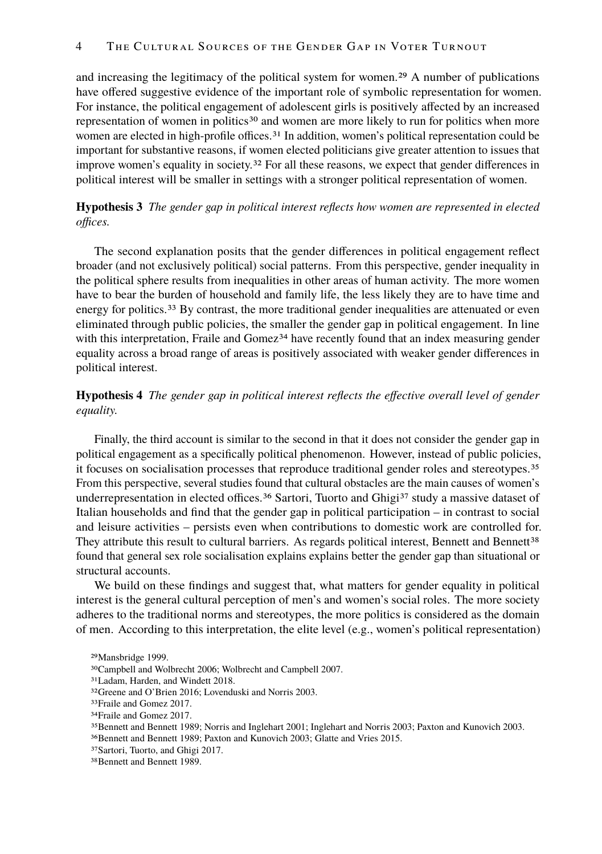and increasing the legitimacy of the political system for women.29 A number of publications have offered suggestive evidence of the important role of symbolic representation for women. For instance, the political engagement of adolescent girls is positively affected by an increased representation of women in politics<sup>30</sup> and women are more likely to run for politics when more women are elected in high-profile offices.<sup>31</sup> In addition, women's political representation could be important for substantive reasons, if women elected politicians give greater attention to issues that improve women's equality in society.<sup>32</sup> For all these reasons, we expect that gender differences in political interest will be smaller in settings with a stronger political representation of women.

**Hypothesis 3** *The gender gap in political interest reflects how women are represented in elected offices.*

The second explanation posits that the gender differences in political engagement reflect broader (and not exclusively political) social patterns. From this perspective, gender inequality in the political sphere results from inequalities in other areas of human activity. The more women have to bear the burden of household and family life, the less likely they are to have time and energy for politics.<sup>33</sup> By contrast, the more traditional gender inequalities are attenuated or even eliminated through public policies, the smaller the gender gap in political engagement. In line with this interpretation, Fraile and Gomez<sup>34</sup> have recently found that an index measuring gender equality across a broad range of areas is positively associated with weaker gender differences in political interest.

# **Hypothesis 4** *The gender gap in political interest reflects the effective overall level of gender equality.*

Finally, the third account is similar to the second in that it does not consider the gender gap in political engagement as a specifically political phenomenon. However, instead of public policies, it focuses on socialisation processes that reproduce traditional gender roles and stereotypes.35 From this perspective, several studies found that cultural obstacles are the main causes of women's underrepresentation in elected offices.<sup>36</sup> Sartori, Tuorto and Ghigi<sup>37</sup> study a massive dataset of Italian households and find that the gender gap in political participation – in contrast to social and leisure activities – persists even when contributions to domestic work are controlled for. They attribute this result to cultural barriers. As regards political interest, Bennett and Bennett<sup>38</sup> found that general sex role socialisation explains explains better the gender gap than situational or structural accounts.

We build on these findings and suggest that, what matters for gender equality in political interest is the general cultural perception of men's and women's social roles. The more society adheres to the traditional norms and stereotypes, the more politics is considered as the domain of men. According to this interpretation, the elite level (e.g., women's political representation)

31Ladam, Harden, and Windett 2018.

<sup>29</sup>Mansbridge 1999.

<sup>30</sup>Campbell and Wolbrecht 2006; Wolbrecht and Campbell 2007.

<sup>32</sup>Greene and O'Brien 2016; Lovenduski and Norris 2003.

<sup>33</sup>Fraile and Gomez 2017.

<sup>34</sup>Fraile and Gomez 2017.

<sup>35</sup>Bennett and Bennett 1989; Norris and Inglehart 2001; Inglehart and Norris 2003; Paxton and Kunovich 2003. 36Bennett and Bennett 1989; Paxton and Kunovich 2003; Glatte and Vries 2015.

<sup>37</sup>Sartori, Tuorto, and Ghigi 2017.

<sup>38</sup>Bennett and Bennett 1989.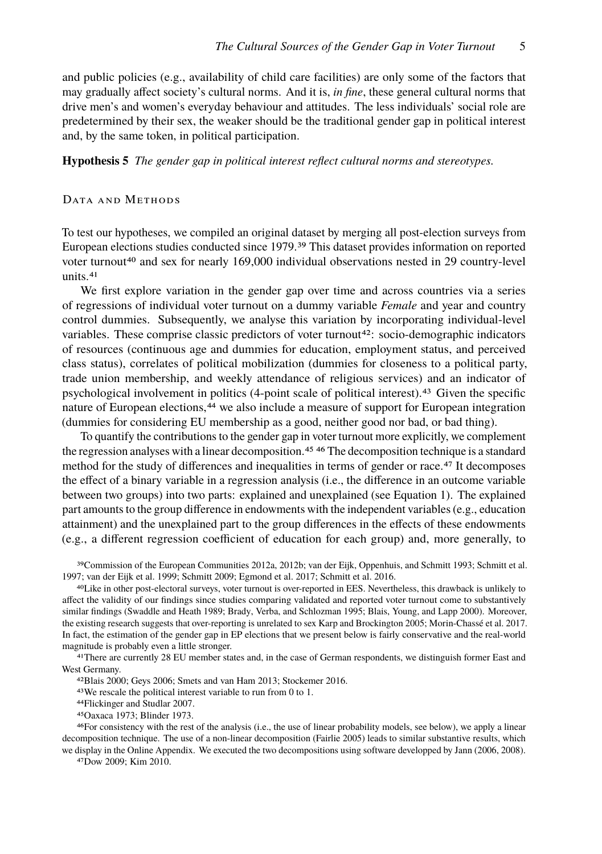and public policies (e.g., availability of child care facilities) are only some of the factors that may gradually affect society's cultural norms. And it is, *in fine*, these general cultural norms that drive men's and women's everyday behaviour and attitudes. The less individuals' social role are predetermined by their sex, the weaker should be the traditional gender gap in political interest and, by the same token, in political participation.

**Hypothesis 5** *The gender gap in political interest reflect cultural norms and stereotypes.*

# DATA AND METHODS

To test our hypotheses, we compiled an original dataset by merging all post-election surveys from European elections studies conducted since 1979.39 This dataset provides information on reported voter turnout<sup>40</sup> and sex for nearly 169,000 individual observations nested in 29 country-level units.41

We first explore variation in the gender gap over time and across countries via a series of regressions of individual voter turnout on a dummy variable *Female* and year and country control dummies. Subsequently, we analyse this variation by incorporating individual-level variables. These comprise classic predictors of voter turnout<sup>42</sup>: socio-demographic indicators of resources (continuous age and dummies for education, employment status, and perceived class status), correlates of political mobilization (dummies for closeness to a political party, trade union membership, and weekly attendance of religious services) and an indicator of psychological involvement in politics (4-point scale of political interest).43 Given the specific nature of European elections,<sup>44</sup> we also include a measure of support for European integration (dummies for considering EU membership as a good, neither good nor bad, or bad thing).

To quantify the contributions to the gender gap in voter turnout more explicitly, we complement the regression analyses with a linear decomposition.<sup>45 46</sup> The decomposition technique is a standard method for the study of differences and inequalities in terms of gender or race.47 It decomposes the effect of a binary variable in a regression analysis (i.e., the difference in an outcome variable between two groups) into two parts: explained and unexplained (see Equation 1). The explained part amounts to the group difference in endowments with the independent variables (e.g., education attainment) and the unexplained part to the group differences in the effects of these endowments (e.g., a different regression coefficient of education for each group) and, more generally, to

39Commission of the European Communities 2012a, 2012b; van der Eijk, Oppenhuis, and Schmitt 1993; Schmitt et al. 1997; van der Eijk et al. 1999; Schmitt 2009; Egmond et al. 2017; Schmitt et al. 2016.

40Like in other post-electoral surveys, voter turnout is over-reported in EES. Nevertheless, this drawback is unlikely to affect the validity of our findings since studies comparing validated and reported voter turnout come to substantively similar findings (Swaddle and Heath 1989; Brady, Verba, and Schlozman 1995; Blais, Young, and Lapp 2000). Moreover, the existing research suggests that over-reporting is unrelated to sex Karp and Brockington 2005; Morin-Chassé et al. 2017. In fact, the estimation of the gender gap in EP elections that we present below is fairly conservative and the real-world magnitude is probably even a little stronger.

41There are currently 28 EU member states and, in the case of German respondents, we distinguish former East and West Germany.

42Blais 2000; Geys 2006; Smets and van Ham 2013; Stockemer 2016.

43We rescale the political interest variable to run from 0 to 1.

44Flickinger and Studlar 2007.

45Oaxaca 1973; Blinder 1973.

46For consistency with the rest of the analysis (i.e., the use of linear probability models, see below), we apply a linear decomposition technique. The use of a non-linear decomposition (Fairlie 2005) leads to similar substantive results, which we display in the Online Appendix. We executed the two decompositions using software developped by Jann (2006, 2008).

47Dow 2009; Kim 2010.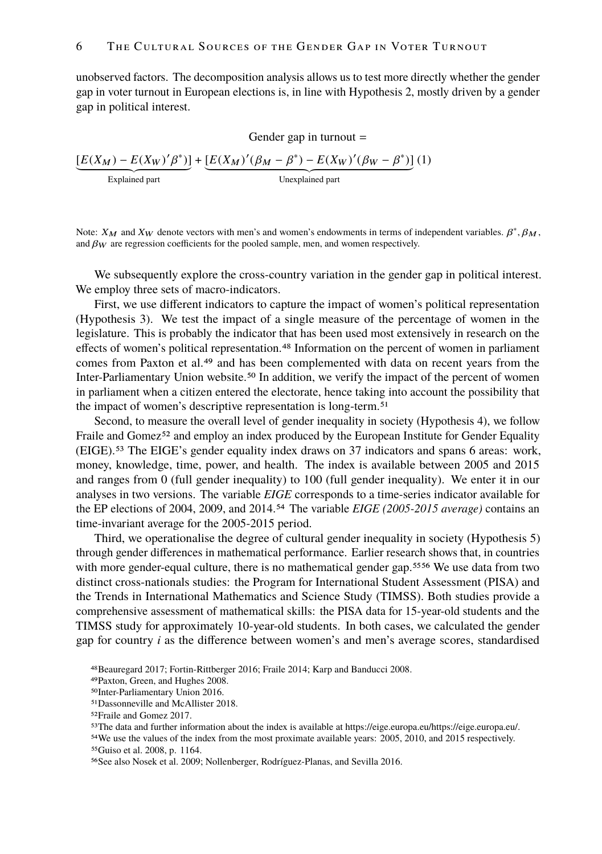unobserved factors. The decomposition analysis allows us to test more directly whether the gender gap in voter turnout in European elections is, in line with Hypothesis 2, mostly driven by a gender gap in political interest.

Gender gap in turnout =  
\n
$$
\underbrace{[E(X_M) - E(X_W)' \beta^*)]}_{\text{Explained part}} + \underbrace{[E(X_M)'(\beta_M - \beta^*) - E(X_W)'(\beta_W - \beta^*)]}_{\text{Unexplained part}} (1)
$$

Note:  $X_M$  and  $X_W$  denote vectors with men's and women's endowments in terms of independent variables.  $\beta^*, \beta_M$ , and  $\beta_W$  are regression coefficients for the pooled sample, men, and women respectively and  $\beta_W$  are regression coefficients for the pooled sample, men, and women respectively.

We subsequently explore the cross-country variation in the gender gap in political interest. We employ three sets of macro-indicators.

First, we use different indicators to capture the impact of women's political representation (Hypothesis 3). We test the impact of a single measure of the percentage of women in the legislature. This is probably the indicator that has been used most extensively in research on the effects of women's political representation.48 Information on the percent of women in parliament comes from Paxton et al.<sup>49</sup> and has been complemented with data on recent years from the Inter-Parliamentary Union website.50 In addition, we verify the impact of the percent of women in parliament when a citizen entered the electorate, hence taking into account the possibility that the impact of women's descriptive representation is long-term.51

Second, to measure the overall level of gender inequality in society (Hypothesis 4), we follow Fraile and Gomez<sup>52</sup> and employ an index produced by the European Institute for Gender Equality (EIGE).53 The EIGE's gender equality index draws on 37 indicators and spans 6 areas: work, money, knowledge, time, power, and health. The index is available between 2005 and 2015 and ranges from 0 (full gender inequality) to 100 (full gender inequality). We enter it in our analyses in two versions. The variable *EIGE* corresponds to a time-series indicator available for the EP elections of 2004, 2009, and 2014.54 The variable *EIGE (2005-2015 average)* contains an time-invariant average for the 2005-2015 period.

Third, we operationalise the degree of cultural gender inequality in society (Hypothesis 5) through gender differences in mathematical performance. Earlier research shows that, in countries with more gender-equal culture, there is no mathematical gender gap.<sup>5556</sup> We use data from two distinct cross-nationals studies: the Program for International Student Assessment (PISA) and the Trends in International Mathematics and Science Study (TIMSS). Both studies provide a comprehensive assessment of mathematical skills: the PISA data for 15-year-old students and the TIMSS study for approximately 10-year-old students. In both cases, we calculated the gender gap for country *i* as the difference between women's and men's average scores, standardised

<sup>48</sup>Beauregard 2017; Fortin-Rittberger 2016; Fraile 2014; Karp and Banducci 2008.

<sup>49</sup>Paxton, Green, and Hughes 2008.

<sup>50</sup>Inter-Parliamentary Union 2016.

<sup>51</sup>Dassonneville and McAllister 2018.

<sup>52</sup>Fraile and Gomez 2017.

<sup>53</sup>The data and further information about the index is available at https://eige.europa.eu/https://eige.europa.eu/.

<sup>54</sup>We use the values of the index from the most proximate available years: 2005, 2010, and 2015 respectively. 55Guiso et al. 2008, p. 1164.

<sup>56</sup>See also Nosek et al. 2009; Nollenberger, Rodríguez-Planas, and Sevilla 2016.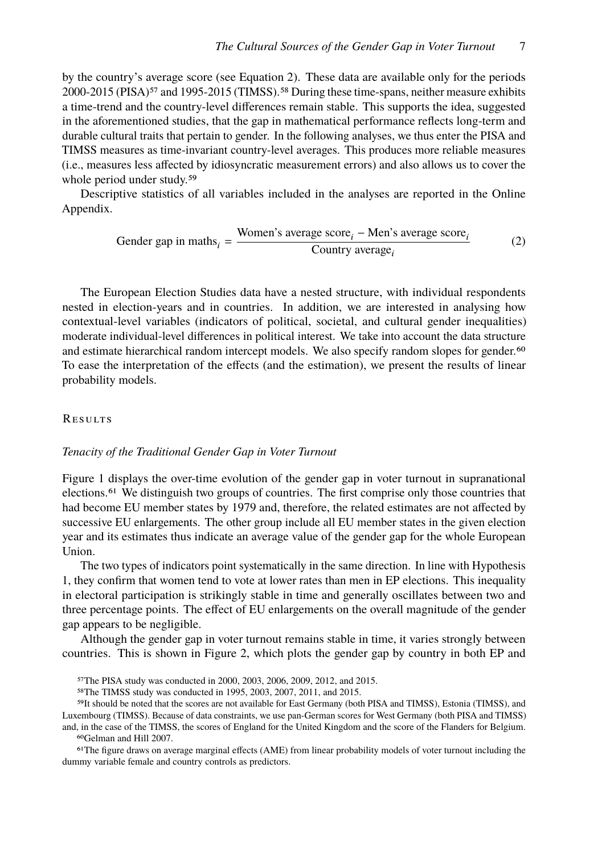by the country's average score (see Equation 2). These data are available only for the periods 2000-2015 (PISA)<sup>57</sup> and 1995-2015 (TIMSS).<sup>58</sup> During these time-spans, neither measure exhibits a time-trend and the country-level differences remain stable. This supports the idea, suggested in the aforementioned studies, that the gap in mathematical performance reflects long-term and durable cultural traits that pertain to gender. In the following analyses, we thus enter the PISA and TIMSS measures as time-invariant country-level averages. This produces more reliable measures (i.e., measures less affected by idiosyncratic measurement errors) and also allows us to cover the whole period under study.<sup>59</sup>

Descriptive statistics of all variables included in the analyses are reported in the Online Appendix.

$$
Gender gap in maths_i = \frac{Women's average score_i - Men's average score_i}{Country average_i}
$$
 (2)

The European Election Studies data have a nested structure, with individual respondents nested in election-years and in countries. In addition, we are interested in analysing how contextual-level variables (indicators of political, societal, and cultural gender inequalities) moderate individual-level differences in political interest. We take into account the data structure and estimate hierarchical random intercept models. We also specify random slopes for gender.<sup>60</sup> To ease the interpretation of the effects (and the estimation), we present the results of linear probability models.

# **RESULTS**

### *Tenacity of the Traditional Gender Gap in Voter Turnout*

Figure 1 displays the over-time evolution of the gender gap in voter turnout in supranational elections.61 We distinguish two groups of countries. The first comprise only those countries that had become EU member states by 1979 and, therefore, the related estimates are not affected by successive EU enlargements. The other group include all EU member states in the given election year and its estimates thus indicate an average value of the gender gap for the whole European Union.

The two types of indicators point systematically in the same direction. In line with Hypothesis 1, they confirm that women tend to vote at lower rates than men in EP elections. This inequality in electoral participation is strikingly stable in time and generally oscillates between two and three percentage points. The effect of EU enlargements on the overall magnitude of the gender gap appears to be negligible.

Although the gender gap in voter turnout remains stable in time, it varies strongly between countries. This is shown in Figure 2, which plots the gender gap by country in both EP and

and, in the case of the TIMSS, the scores of England for the United Kingdom and the score of the Flanders for Belgium. 60Gelman and Hill 2007.

61The figure draws on average marginal effects (AME) from linear probability models of voter turnout including the dummy variable female and country controls as predictors.

<sup>57</sup>The PISA study was conducted in 2000, 2003, 2006, 2009, 2012, and 2015.

<sup>58</sup>The TIMSS study was conducted in 1995, 2003, 2007, 2011, and 2015.

<sup>59</sup>It should be noted that the scores are not available for East Germany (both PISA and TIMSS), Estonia (TIMSS), and Luxembourg (TIMSS). Because of data constraints, we use pan-German scores for West Germany (both PISA and TIMSS)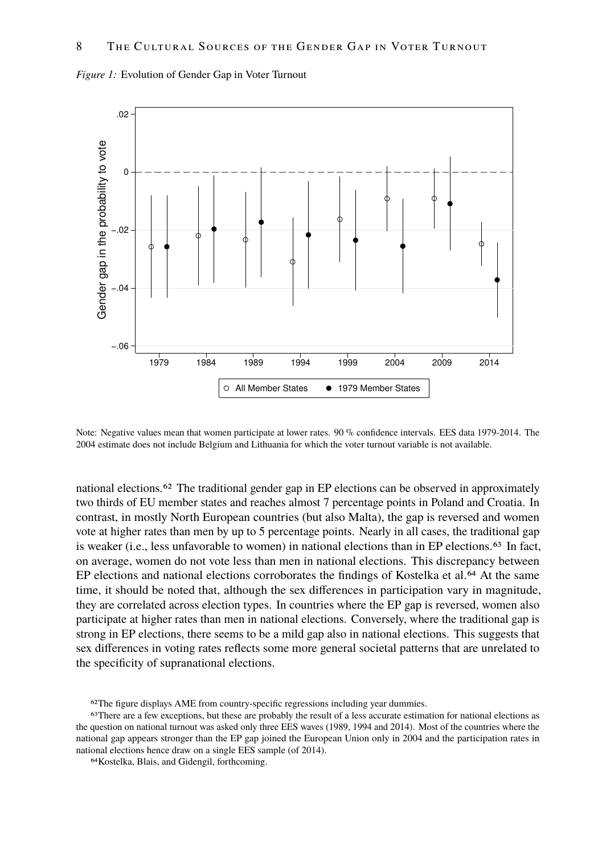

*Figure 1:* Evolution of Gender Gap in Voter Turnout

Note: Negative values mean that women participate at lower rates. 90 % confidence intervals. EES data 1979-2014. The 2004 estimate does not include Belgium and Lithuania for which the voter turnout variable is not available.

national elections.62 The traditional gender gap in EP elections can be observed in approximately two thirds of EU member states and reaches almost 7 percentage points in Poland and Croatia. In contrast, in mostly North European countries (but also Malta), the gap is reversed and women vote at higher rates than men by up to 5 percentage points. Nearly in all cases, the traditional gap is weaker (i.e., less unfavorable to women) in national elections than in EP elections.<sup>63</sup> In fact, on average, women do not vote less than men in national elections. This discrepancy between EP elections and national elections corroborates the findings of Kostelka et al.<sup>64</sup> At the same time, it should be noted that, although the sex differences in participation vary in magnitude, they are correlated across election types. In countries where the EP gap is reversed, women also participate at higher rates than men in national elections. Conversely, where the traditional gap is strong in EP elections, there seems to be a mild gap also in national elections. This suggests that sex differences in voting rates reflects some more general societal patterns that are unrelated to the specificity of supranational elections.

62The figure displays AME from country-specific regressions including year dummies.

<sup>63</sup>There are a few exceptions, but these are probably the result of a less accurate estimation for national elections as the question on national turnout was asked only three EES waves (1989, 1994 and 2014). Most of the countries where the national gap appears stronger than the EP gap joined the European Union only in 2004 and the participation rates in national elections hence draw on a single EES sample (of 2014).

<sup>64</sup>Kostelka, Blais, and Gidengil, forthcoming.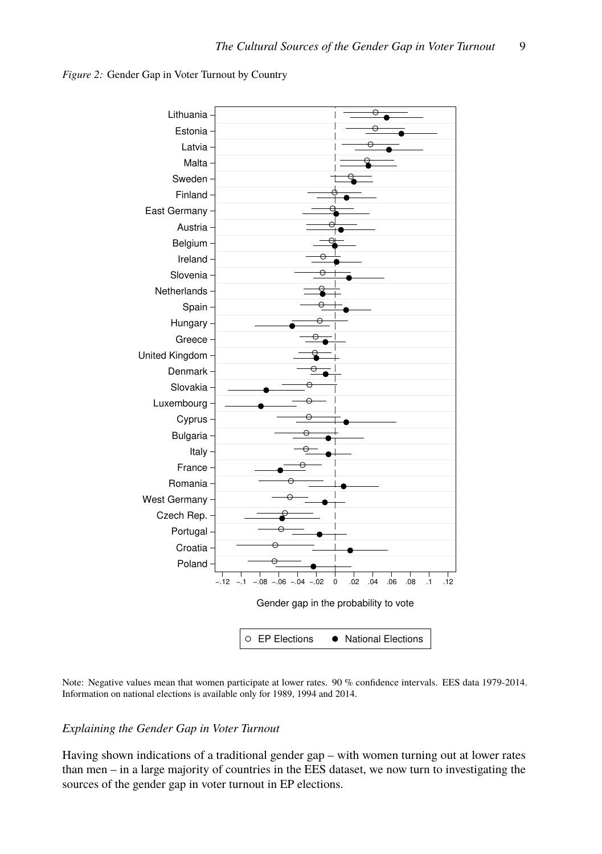



Note: Negative values mean that women participate at lower rates. 90 % confidence intervals. EES data 1979-2014. Information on national elections is available only for 1989, 1994 and 2014.

# *Explaining the Gender Gap in Voter Turnout*

Having shown indications of a traditional gender gap – with women turning out at lower rates than men – in a large majority of countries in the EES dataset, we now turn to investigating the sources of the gender gap in voter turnout in EP elections.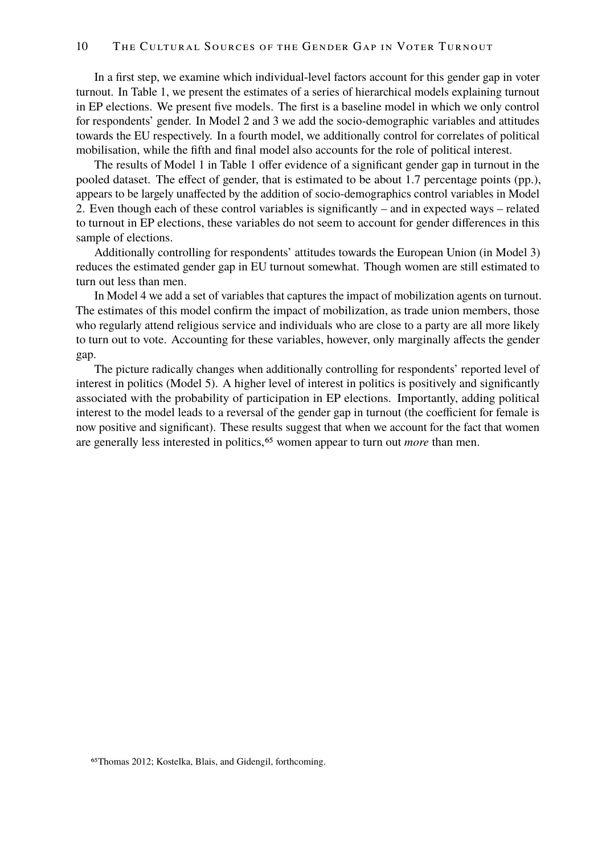In a first step, we examine which individual-level factors account for this gender gap in voter turnout. In Table 1, we present the estimates of a series of hierarchical models explaining turnout in EP elections. We present five models. The first is a baseline model in which we only control for respondents' gender. In Model 2 and 3 we add the socio-demographic variables and attitudes towards the EU respectively. In a fourth model, we additionally control for correlates of political mobilisation, while the fifth and final model also accounts for the role of political interest.

The results of Model 1 in Table 1 offer evidence of a significant gender gap in turnout in the pooled dataset. The effect of gender, that is estimated to be about 1.7 percentage points (pp.), appears to be largely unaffected by the addition of socio-demographics control variables in Model 2. Even though each of these control variables is significantly – and in expected ways – related to turnout in EP elections, these variables do not seem to account for gender differences in this sample of elections.

Additionally controlling for respondents' attitudes towards the European Union (in Model 3) reduces the estimated gender gap in EU turnout somewhat. Though women are still estimated to turn out less than men.

In Model 4 we add a set of variables that captures the impact of mobilization agents on turnout. The estimates of this model confirm the impact of mobilization, as trade union members, those who regularly attend religious service and individuals who are close to a party are all more likely to turn out to vote. Accounting for these variables, however, only marginally affects the gender gap.

The picture radically changes when additionally controlling for respondents' reported level of interest in politics (Model 5). A higher level of interest in politics is positively and significantly associated with the probability of participation in EP elections. Importantly, adding political interest to the model leads to a reversal of the gender gap in turnout (the coefficient for female is now positive and significant). These results suggest that when we account for the fact that women are generally less interested in politics,<sup>65</sup> women appear to turn out *more* than men.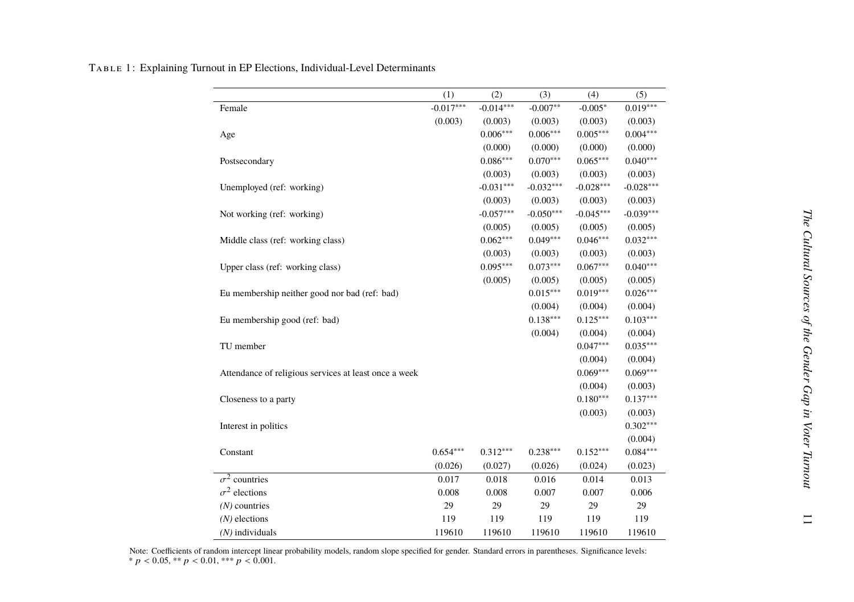|                                                       | (1)         | (2)         | (3)         | (4)         | (5)         |
|-------------------------------------------------------|-------------|-------------|-------------|-------------|-------------|
| Female                                                | $-0.017***$ | $-0.014***$ | $-0.007**$  | $-0.005*$   | $0.019***$  |
|                                                       | (0.003)     | (0.003)     | (0.003)     | (0.003)     | (0.003)     |
| Age                                                   |             | $0.006***$  | $0.006***$  | $0.005***$  | $0.004***$  |
|                                                       |             | (0.000)     | (0.000)     | (0.000)     | (0.000)     |
| Postsecondary                                         |             | $0.086***$  | $0.070***$  | $0.065***$  | $0.040***$  |
|                                                       |             | (0.003)     | (0.003)     | (0.003)     | (0.003)     |
| Unemployed (ref: working)                             |             | $-0.031***$ | $-0.032***$ | $-0.028***$ | $-0.028***$ |
|                                                       |             | (0.003)     | (0.003)     | (0.003)     | (0.003)     |
| Not working (ref: working)                            |             | $-0.057***$ | $-0.050***$ | $-0.045***$ | $-0.039***$ |
|                                                       |             | (0.005)     | (0.005)     | (0.005)     | (0.005)     |
| Middle class (ref: working class)                     |             | $0.062***$  | $0.049***$  | $0.046***$  | $0.032***$  |
|                                                       |             | (0.003)     | (0.003)     | (0.003)     | (0.003)     |
| Upper class (ref: working class)                      |             | $0.095***$  | $0.073***$  | $0.067***$  | $0.040***$  |
|                                                       |             | (0.005)     | (0.005)     | (0.005)     | (0.005)     |
| Eu membership neither good nor bad (ref: bad)         |             |             | $0.015***$  | $0.019***$  | $0.026***$  |
|                                                       |             |             | (0.004)     | (0.004)     | (0.004)     |
| Eu membership good (ref: bad)                         |             |             | $0.138***$  | $0.125***$  | $0.103***$  |
|                                                       |             |             | (0.004)     | (0.004)     | (0.004)     |
| TU member                                             |             |             |             | $0.047***$  | $0.035***$  |
|                                                       |             |             |             | (0.004)     | (0.004)     |
| Attendance of religious services at least once a week |             |             |             | $0.069***$  | $0.069***$  |
|                                                       |             |             |             | (0.004)     | (0.003)     |
| Closeness to a party                                  |             |             |             | $0.180***$  | $0.137***$  |
|                                                       |             |             |             | (0.003)     | (0.003)     |
| Interest in politics                                  |             |             |             |             | $0.302***$  |
|                                                       |             |             |             |             | (0.004)     |
| Constant                                              | $0.654***$  | $0.312***$  | $0.238***$  | $0.152***$  | $0.084***$  |
|                                                       | (0.026)     | (0.027)     | (0.026)     | (0.024)     | (0.023)     |
| $\sigma^2$ countries                                  | 0.017       | 0.018       | 0.016       | 0.014       | 0.013       |
| $\sigma^2$ elections                                  | 0.008       | 0.008       | 0.007       | 0.007       | 0.006       |
| $(N)$ countries                                       | 29          | 29          | 29          | 29          | 29          |
| $(N)$ elections                                       | 119         | 119         | 119         | 119         | 119         |
| $(N)$ individuals                                     | 119610      | 119610      | 119610      | 119610      | 119610      |

TABLE 1: Explaining Turnout in EP Elections, Individual-Level Determinants

Note: Coefficients of random intercept linear probability models, random slope specified for gender. Standard errors in parentheses. Significance levels:  $p < 0.05$ ,  $^{**} p < 0.01$ ,  $^{***} p < 0.001$ .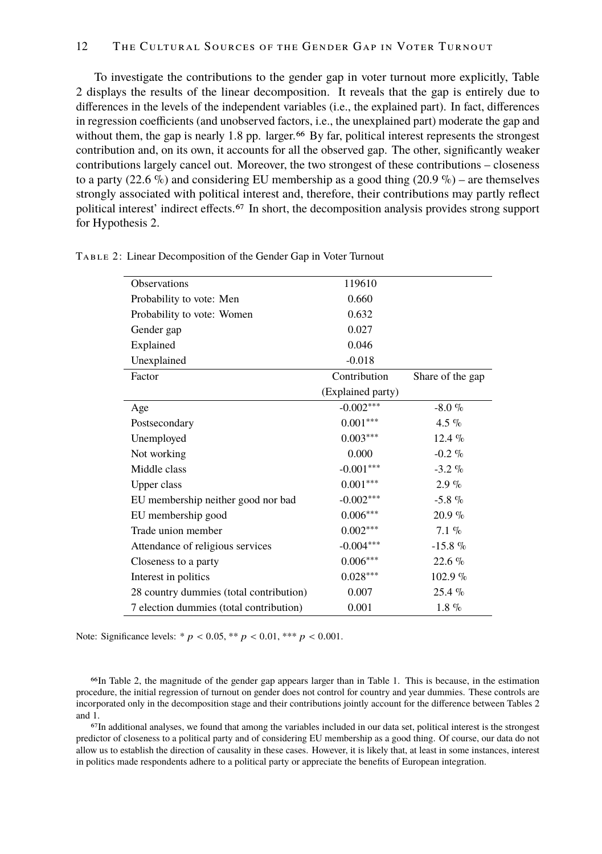# 12 The Cultural Sources of the Gender Gap in Voter Turnout

To investigate the contributions to the gender gap in voter turnout more explicitly, Table 2 displays the results of the linear decomposition. It reveals that the gap is entirely due to differences in the levels of the independent variables (i.e., the explained part). In fact, differences in regression coefficients (and unobserved factors, i.e., the unexplained part) moderate the gap and without them, the gap is nearly 1.8 pp. larger.<sup>66</sup> By far, political interest represents the strongest contribution and, on its own, it accounts for all the observed gap. The other, significantly weaker contributions largely cancel out. Moreover, the two strongest of these contributions – closeness to a party (22.6 %) and considering EU membership as a good thing (20.9 %) – are themselves strongly associated with political interest and, therefore, their contributions may partly reflect political interest' indirect effects.67 In short, the decomposition analysis provides strong support for Hypothesis 2.

| Observations                            | 119610            |                  |
|-----------------------------------------|-------------------|------------------|
| Probability to vote: Men                | 0.660             |                  |
| Probability to vote: Women              | 0.632             |                  |
| Gender gap                              | 0.027             |                  |
| Explained                               | 0.046             |                  |
| Unexplained                             | $-0.018$          |                  |
| Factor                                  | Contribution      | Share of the gap |
|                                         | (Explained party) |                  |
| Age                                     | $-0.002***$       | $-8.0 \%$        |
| Postsecondary                           | $0.001***$        | 4.5 %            |
| Unemployed                              | $0.003***$        | $12.4\%$         |
| Not working                             | 0.000             | $-0.2 \%$        |
| Middle class                            | $-0.001***$       | $-3.2\%$         |
| Upper class                             | $0.001***$        | $2.9\%$          |
| EU membership neither good nor bad      | $-0.002***$       | $-5.8\%$         |
| EU membership good                      | $0.006***$        | $20.9\%$         |
| Trade union member                      | $0.002***$        | $7.1\%$          |
| Attendance of religious services        | $-0.004***$       | $-15.8\%$        |
| Closeness to a party                    | $0.006***$        | $22.6\%$         |
| Interest in politics                    | $0.028***$        | $102.9\%$        |
| 28 country dummies (total contribution) | 0.007             | $25.4\%$         |
| 7 election dummies (total contribution) | 0.001             | $1.8 \%$         |

Table 2: Linear Decomposition of the Gender Gap in Voter Turnout

Note: Significance levels: \*  $p < 0.05$ , \*\*  $p < 0.01$ , \*\*\*  $p < 0.001$ .

66In Table 2, the magnitude of the gender gap appears larger than in Table 1. This is because, in the estimation procedure, the initial regression of turnout on gender does not control for country and year dummies. These controls are incorporated only in the decomposition stage and their contributions jointly account for the difference between Tables 2 and 1.

67In additional analyses, we found that among the variables included in our data set, political interest is the strongest predictor of closeness to a political party and of considering EU membership as a good thing. Of course, our data do not allow us to establish the direction of causality in these cases. However, it is likely that, at least in some instances, interest in politics made respondents adhere to a political party or appreciate the benefits of European integration.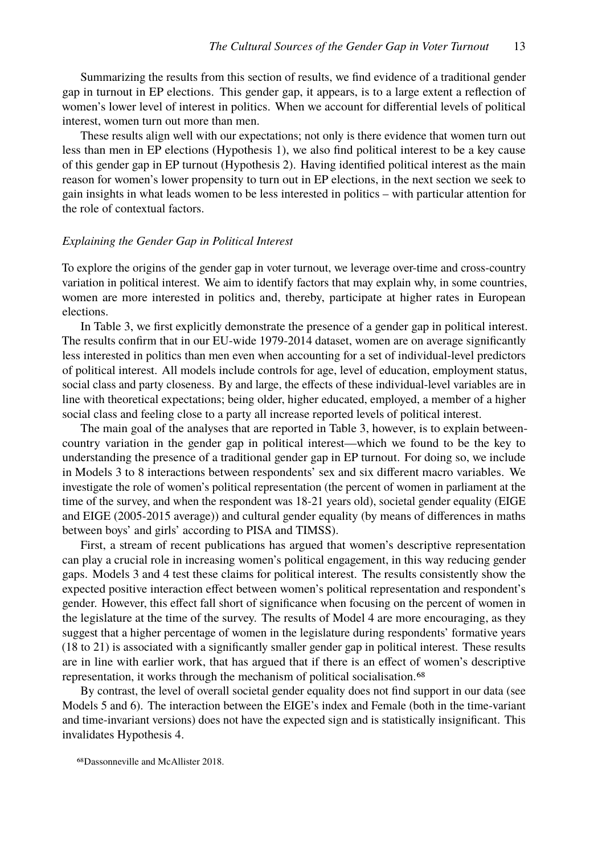Summarizing the results from this section of results, we find evidence of a traditional gender gap in turnout in EP elections. This gender gap, it appears, is to a large extent a reflection of women's lower level of interest in politics. When we account for differential levels of political interest, women turn out more than men.

These results align well with our expectations; not only is there evidence that women turn out less than men in EP elections (Hypothesis 1), we also find political interest to be a key cause of this gender gap in EP turnout (Hypothesis 2). Having identified political interest as the main reason for women's lower propensity to turn out in EP elections, in the next section we seek to gain insights in what leads women to be less interested in politics – with particular attention for the role of contextual factors.

#### *Explaining the Gender Gap in Political Interest*

To explore the origins of the gender gap in voter turnout, we leverage over-time and cross-country variation in political interest. We aim to identify factors that may explain why, in some countries, women are more interested in politics and, thereby, participate at higher rates in European elections.

In Table 3, we first explicitly demonstrate the presence of a gender gap in political interest. The results confirm that in our EU-wide 1979-2014 dataset, women are on average significantly less interested in politics than men even when accounting for a set of individual-level predictors of political interest. All models include controls for age, level of education, employment status, social class and party closeness. By and large, the effects of these individual-level variables are in line with theoretical expectations; being older, higher educated, employed, a member of a higher social class and feeling close to a party all increase reported levels of political interest.

The main goal of the analyses that are reported in Table 3, however, is to explain betweencountry variation in the gender gap in political interest—which we found to be the key to understanding the presence of a traditional gender gap in EP turnout. For doing so, we include in Models 3 to 8 interactions between respondents' sex and six different macro variables. We investigate the role of women's political representation (the percent of women in parliament at the time of the survey, and when the respondent was 18-21 years old), societal gender equality (EIGE and EIGE (2005-2015 average)) and cultural gender equality (by means of differences in maths between boys' and girls' according to PISA and TIMSS).

First, a stream of recent publications has argued that women's descriptive representation can play a crucial role in increasing women's political engagement, in this way reducing gender gaps. Models 3 and 4 test these claims for political interest. The results consistently show the expected positive interaction effect between women's political representation and respondent's gender. However, this effect fall short of significance when focusing on the percent of women in the legislature at the time of the survey. The results of Model 4 are more encouraging, as they suggest that a higher percentage of women in the legislature during respondents' formative years (18 to 21) is associated with a significantly smaller gender gap in political interest. These results are in line with earlier work, that has argued that if there is an effect of women's descriptive representation, it works through the mechanism of political socialisation.<sup>68</sup>

By contrast, the level of overall societal gender equality does not find support in our data (see Models 5 and 6). The interaction between the EIGE's index and Female (both in the time-variant and time-invariant versions) does not have the expected sign and is statistically insignificant. This invalidates Hypothesis 4.

<sup>68</sup>Dassonneville and McAllister 2018.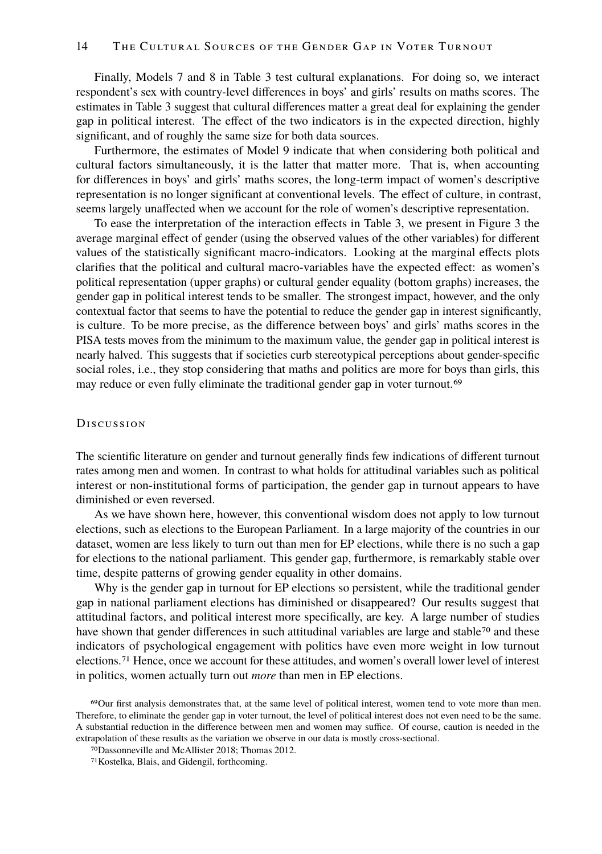Finally, Models 7 and 8 in Table 3 test cultural explanations. For doing so, we interact respondent's sex with country-level differences in boys' and girls' results on maths scores. The estimates in Table 3 suggest that cultural differences matter a great deal for explaining the gender gap in political interest. The effect of the two indicators is in the expected direction, highly significant, and of roughly the same size for both data sources.

Furthermore, the estimates of Model 9 indicate that when considering both political and cultural factors simultaneously, it is the latter that matter more. That is, when accounting for differences in boys' and girls' maths scores, the long-term impact of women's descriptive representation is no longer significant at conventional levels. The effect of culture, in contrast, seems largely unaffected when we account for the role of women's descriptive representation.

To ease the interpretation of the interaction effects in Table 3, we present in Figure 3 the average marginal effect of gender (using the observed values of the other variables) for different values of the statistically significant macro-indicators. Looking at the marginal effects plots clarifies that the political and cultural macro-variables have the expected effect: as women's political representation (upper graphs) or cultural gender equality (bottom graphs) increases, the gender gap in political interest tends to be smaller. The strongest impact, however, and the only contextual factor that seems to have the potential to reduce the gender gap in interest significantly, is culture. To be more precise, as the difference between boys' and girls' maths scores in the PISA tests moves from the minimum to the maximum value, the gender gap in political interest is nearly halved. This suggests that if societies curb stereotypical perceptions about gender-specific social roles, i.e., they stop considering that maths and politics are more for boys than girls, this may reduce or even fully eliminate the traditional gender gap in voter turnout.<sup>69</sup>

#### **Discussion**

The scientific literature on gender and turnout generally finds few indications of different turnout rates among men and women. In contrast to what holds for attitudinal variables such as political interest or non-institutional forms of participation, the gender gap in turnout appears to have diminished or even reversed.

As we have shown here, however, this conventional wisdom does not apply to low turnout elections, such as elections to the European Parliament. In a large majority of the countries in our dataset, women are less likely to turn out than men for EP elections, while there is no such a gap for elections to the national parliament. This gender gap, furthermore, is remarkably stable over time, despite patterns of growing gender equality in other domains.

Why is the gender gap in turnout for EP elections so persistent, while the traditional gender gap in national parliament elections has diminished or disappeared? Our results suggest that attitudinal factors, and political interest more specifically, are key. A large number of studies have shown that gender differences in such attitudinal variables are large and stable<sup>70</sup> and these indicators of psychological engagement with politics have even more weight in low turnout elections.71 Hence, once we account for these attitudes, and women's overall lower level of interest in politics, women actually turn out *more* than men in EP elections.

<sup>69</sup>Our first analysis demonstrates that, at the same level of political interest, women tend to vote more than men. Therefore, to eliminate the gender gap in voter turnout, the level of political interest does not even need to be the same. A substantial reduction in the difference between men and women may suffice. Of course, caution is needed in the extrapolation of these results as the variation we observe in our data is mostly cross-sectional.

<sup>70</sup>Dassonneville and McAllister 2018; Thomas 2012.

<sup>71</sup>Kostelka, Blais, and Gidengil, forthcoming.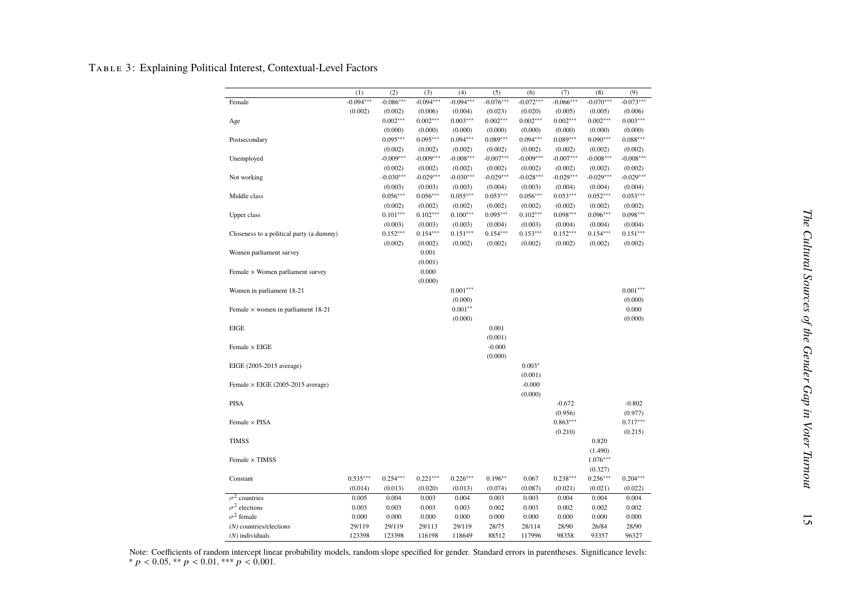#### Table 3: Explaining Political Interest, Contextual-Level Factors

|                                                                                                                                            | $-0.073***$ |
|--------------------------------------------------------------------------------------------------------------------------------------------|-------------|
| $-0.094***$<br>$-0.086***$<br>$-0.094***$<br>$-0.094***$<br>$-0.076***$<br>$-0.072***$<br>$-0.066***$<br>$-0.070***$<br>Female             |             |
| (0.002)<br>(0.002)<br>(0.006)<br>(0.004)<br>(0.023)<br>(0.020)<br>(0.005)<br>(0.005)                                                       | (0.006)     |
| $0.002***$<br>$0.002***$<br>$0.002***$<br>$0.002***$<br>$0.002***$<br>$0.002***$<br>$0.003***$<br>Age                                      | $0.003***$  |
| (0.000)<br>(0.000)<br>(0.000)<br>(0.000)<br>(0.000)<br>(0.000)<br>(0.000)                                                                  | (0.000)     |
| $0.095***$<br>$0.095***$<br>$0.094***$<br>$0.089***$<br>$0.094***$<br>$0.089***$<br>$0.090***$<br>Postsecondary                            | $0.088***$  |
| (0.002)<br>(0.002)<br>(0.002)<br>(0.002)<br>(0.002)<br>(0.002)<br>(0.002)                                                                  | (0.002)     |
| $-0.009***$<br>$-0.009***$<br>$-0.009***$<br>$-0.008***$<br>$-0.008***$<br>$-0.007***$<br>$-0.007***$<br>Unemployed                        | $-0.008***$ |
| (0.002)<br>(0.002)<br>(0.002)<br>(0.002)<br>(0.002)<br>(0.002)<br>(0.002)                                                                  | (0.002)     |
| $-0.030***$<br>$-0.029***$<br>$-0.030***$<br>$-0.029***$<br>$-0.028***$<br>$-0.029***$<br>$-0.029***$<br>Not working                       | $-0.029***$ |
| (0.003)<br>(0.003)<br>(0.003)<br>(0.004)<br>(0.003)<br>(0.004)<br>(0.004)                                                                  | (0.004)     |
| $0.056***$<br>$0.056***$<br>$0.055***$<br>$0.053***$<br>$0.056***$<br>$0.053***$<br>$0.052***$<br>Middle class                             | $0.053***$  |
| (0.002)<br>(0.002)<br>(0.002)<br>(0.002)<br>(0.002)<br>(0.002)<br>(0.002)                                                                  | (0.002)     |
| $0.101***$<br>$0.102***$<br>$0.100***$<br>$0.095***$<br>$0.102***$<br>$0.098***$<br>$0.096***$<br>Upper class                              | $0.098***$  |
| (0.003)<br>(0.003)<br>(0.003)<br>(0.004)<br>(0.003)<br>(0.004)<br>(0.004)                                                                  | (0.004)     |
| $0.152***$<br>$0.154***$<br>$0.153***$<br>$0.152***$<br>$0.154***$<br>$0.154***$<br>$0.151***$<br>Closeness to a political party (a dummy) | $0.151***$  |
| (0.002)<br>(0.002)<br>(0.002)<br>(0.002)<br>(0.002)<br>(0.002)<br>(0.002)                                                                  | (0.002)     |
| 0.001<br>Women parliament survey                                                                                                           |             |
| (0.001)                                                                                                                                    |             |
| 0.000<br>Female $\times$ Women parliament survey                                                                                           |             |
| (0.000)                                                                                                                                    |             |
| $0.001***$<br>Women in parliament 18-21                                                                                                    | $0.001***$  |
| (0.000)                                                                                                                                    | (0.000)     |
| $0.001***$<br>Female $\times$ women in parliament 18-21                                                                                    | 0.000       |
| (0.000)                                                                                                                                    | (0.000)     |
| EIGE<br>0.001                                                                                                                              |             |
| (0.001)                                                                                                                                    |             |
| $-0.000$<br>Female $\times$ EIGE                                                                                                           |             |
| (0.000)                                                                                                                                    |             |
| EIGE (2005-2015 average)<br>$0.003*$                                                                                                       |             |
| (0.001)                                                                                                                                    |             |
| $-0.000$<br>Female $\times$ EIGE (2005-2015 average)                                                                                       |             |
| (0.000)                                                                                                                                    |             |
| PISA<br>$-0.672$                                                                                                                           | $-0.802$    |
| (0.956)                                                                                                                                    | (0.977)     |
| $0.863***$<br>Female $\times$ PISA                                                                                                         | $0.717***$  |
| (0.210)                                                                                                                                    | (0.215)     |
| <b>TIMSS</b><br>0.820                                                                                                                      |             |
| (1.490)                                                                                                                                    |             |
| $1.076***$<br>Female $\times$ TIMSS                                                                                                        |             |
| (0.327)                                                                                                                                    |             |
| $0.535***$<br>$0.254***$<br>$0.221***$<br>$0.226***$<br>$0.196**$<br>0.067<br>$0.238***$<br>$0.256***$<br>Constant                         | $0.204***$  |
| (0.014)<br>(0.013)<br>(0.020)<br>(0.013)<br>(0.074)<br>(0.087)<br>(0.021)<br>(0.021)                                                       | (0.022)     |
| $\sigma^2$ countries<br>0.005<br>0.004<br>0.003<br>0.003<br>0.003<br>0.004<br>0.004<br>0.004                                               | 0.004       |
| $\sigma^2$ elections<br>0.003<br>0.003<br>0.003<br>0.003<br>0.002<br>0.003<br>0.002<br>0.002                                               | 0.002       |
| $\sigma^2$ female<br>0.000<br>0.000<br>0.000<br>0.000<br>0.000<br>0.000<br>0.000<br>0.000                                                  | 0.000       |
| 29/119<br>29/119<br>29/113<br>29/119<br>28/75<br>28/114<br>28/90<br>26/84<br>$(N)$ countries/elections                                     | 28/90       |
| 123398<br>123398<br>116198<br>118649<br>88512<br>117996<br>98358<br>93357<br>$(N)$ individuals                                             | 96327       |

Note: Coefficients of random intercept linear probability models, random slope specified for gender. Standard errors in parentheses. Significance levels:<br>\*  $p < 0.05$ , \*\*  $p < 0.01$ , \*\*\*  $p < 0.001$ .

15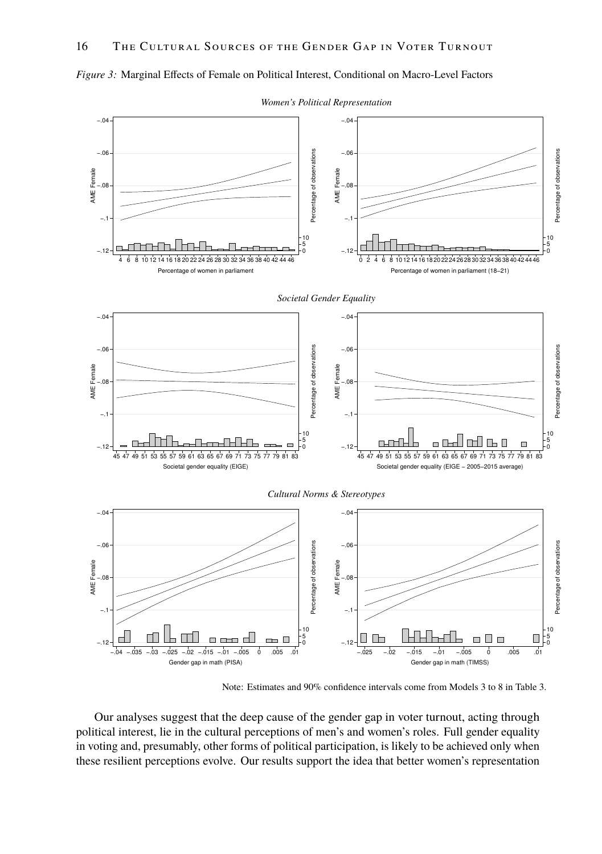

*Figure 3:* Marginal Effects of Female on Political Interest, Conditional on Macro-Level Factors

*Women's Political Representation*

Note: Estimates and 90% confidence intervals come from Models 3 to 8 in Table 3.

Our analyses suggest that the deep cause of the gender gap in voter turnout, acting through political interest, lie in the cultural perceptions of men's and women's roles. Full gender equality in voting and, presumably, other forms of political participation, is likely to be achieved only when these resilient perceptions evolve. Our results support the idea that better women's representation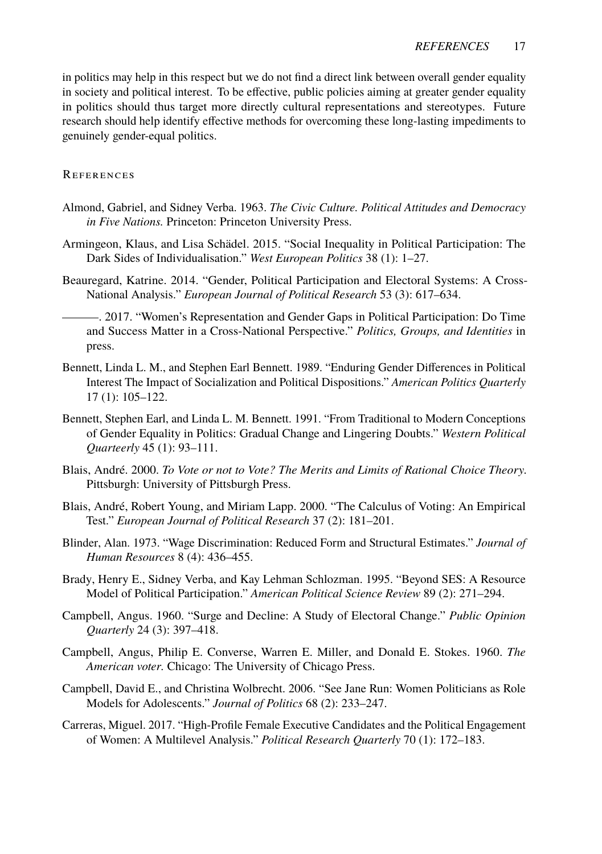in politics may help in this respect but we do not find a direct link between overall gender equality in society and political interest. To be effective, public policies aiming at greater gender equality in politics should thus target more directly cultural representations and stereotypes. Future research should help identify effective methods for overcoming these long-lasting impediments to genuinely gender-equal politics.

# References

- Almond, Gabriel, and Sidney Verba. 1963. *The Civic Culture. Political Attitudes and Democracy in Five Nations.* Princeton: Princeton University Press.
- Armingeon, Klaus, and Lisa Schädel. 2015. "Social Inequality in Political Participation: The Dark Sides of Individualisation." *West European Politics* 38 (1): 1–27.
- Beauregard, Katrine. 2014. "Gender, Political Participation and Electoral Systems: A Cross-National Analysis." *European Journal of Political Research* 53 (3): 617–634.
	- . 2017. "Women's Representation and Gender Gaps in Political Participation: Do Time and Success Matter in a Cross-National Perspective." *Politics, Groups, and Identities* in press.
- Bennett, Linda L. M., and Stephen Earl Bennett. 1989. "Enduring Gender Differences in Political Interest The Impact of Socialization and Political Dispositions." *American Politics Quarterly* 17 (1): 105–122.
- Bennett, Stephen Earl, and Linda L. M. Bennett. 1991. "From Traditional to Modern Conceptions of Gender Equality in Politics: Gradual Change and Lingering Doubts." *Western Political Quarteerly* 45 (1): 93–111.
- Blais, André. 2000. *To Vote or not to Vote? The Merits and Limits of Rational Choice Theory.* Pittsburgh: University of Pittsburgh Press.
- Blais, André, Robert Young, and Miriam Lapp. 2000. "The Calculus of Voting: An Empirical Test." *European Journal of Political Research* 37 (2): 181–201.
- Blinder, Alan. 1973. "Wage Discrimination: Reduced Form and Structural Estimates." *Journal of Human Resources* 8 (4): 436–455.
- Brady, Henry E., Sidney Verba, and Kay Lehman Schlozman. 1995. "Beyond SES: A Resource Model of Political Participation." *American Political Science Review* 89 (2): 271–294.
- Campbell, Angus. 1960. "Surge and Decline: A Study of Electoral Change." *Public Opinion Quarterly* 24 (3): 397–418.
- Campbell, Angus, Philip E. Converse, Warren E. Miller, and Donald E. Stokes. 1960. *The American voter.* Chicago: The University of Chicago Press.
- Campbell, David E., and Christina Wolbrecht. 2006. "See Jane Run: Women Politicians as Role Models for Adolescents." *Journal of Politics* 68 (2): 233–247.
- Carreras, Miguel. 2017. "High-Profile Female Executive Candidates and the Political Engagement of Women: A Multilevel Analysis." *Political Research Quarterly* 70 (1): 172–183.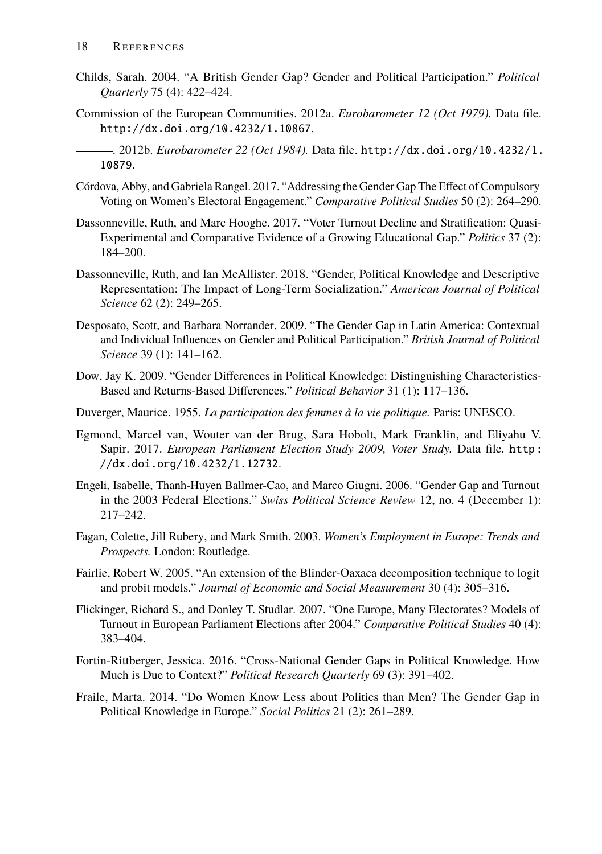- Childs, Sarah. 2004. "A British Gender Gap? Gender and Political Participation." *Political Quarterly* 75 (4): 422–424.
- Commission of the European Communities. 2012a. *Eurobarometer 12 (Oct 1979).* Data file. http://dx.doi.org/10.4232/1.10867.
- . 2012b. *Eurobarometer 22 (Oct 1984).* Data file. http://dx.doi.org/10.4232/1. 10879.
- Córdova, Abby, and Gabriela Rangel. 2017. "Addressing the Gender Gap The Effect of Compulsory Voting on Women's Electoral Engagement." *Comparative Political Studies* 50 (2): 264–290.
- Dassonneville, Ruth, and Marc Hooghe. 2017. "Voter Turnout Decline and Stratification: Quasi-Experimental and Comparative Evidence of a Growing Educational Gap." *Politics* 37 (2): 184–200.
- Dassonneville, Ruth, and Ian McAllister. 2018. "Gender, Political Knowledge and Descriptive Representation: The Impact of Long-Term Socialization." *American Journal of Political Science* 62 (2): 249–265.
- Desposato, Scott, and Barbara Norrander. 2009. "The Gender Gap in Latin America: Contextual and Individual Influences on Gender and Political Participation." *British Journal of Political Science* 39 (1): 141–162.
- Dow, Jay K. 2009. "Gender Differences in Political Knowledge: Distinguishing Characteristics-Based and Returns-Based Differences." *Political Behavior* 31 (1): 117–136.
- Duverger, Maurice. 1955. *La participation des femmes à la vie politique.* Paris: UNESCO.
- Egmond, Marcel van, Wouter van der Brug, Sara Hobolt, Mark Franklin, and Eliyahu V. Sapir. 2017. *European Parliament Election Study 2009, Voter Study.* Data file. http : //dx.doi.org/10.4232/1.12732.
- Engeli, Isabelle, Thanh-Huyen Ballmer-Cao, and Marco Giugni. 2006. "Gender Gap and Turnout in the 2003 Federal Elections." *Swiss Political Science Review* 12, no. 4 (December 1): 217–242.
- Fagan, Colette, Jill Rubery, and Mark Smith. 2003. *Women's Employment in Europe: Trends and Prospects.* London: Routledge.
- Fairlie, Robert W. 2005. "An extension of the Blinder-Oaxaca decomposition technique to logit and probit models." *Journal of Economic and Social Measurement* 30 (4): 305–316.
- Flickinger, Richard S., and Donley T. Studlar. 2007. "One Europe, Many Electorates? Models of Turnout in European Parliament Elections after 2004." *Comparative Political Studies* 40 (4): 383–404.
- Fortin-Rittberger, Jessica. 2016. "Cross-National Gender Gaps in Political Knowledge. How Much is Due to Context?" *Political Research Quarterly* 69 (3): 391–402.
- Fraile, Marta. 2014. "Do Women Know Less about Politics than Men? The Gender Gap in Political Knowledge in Europe." *Social Politics* 21 (2): 261–289.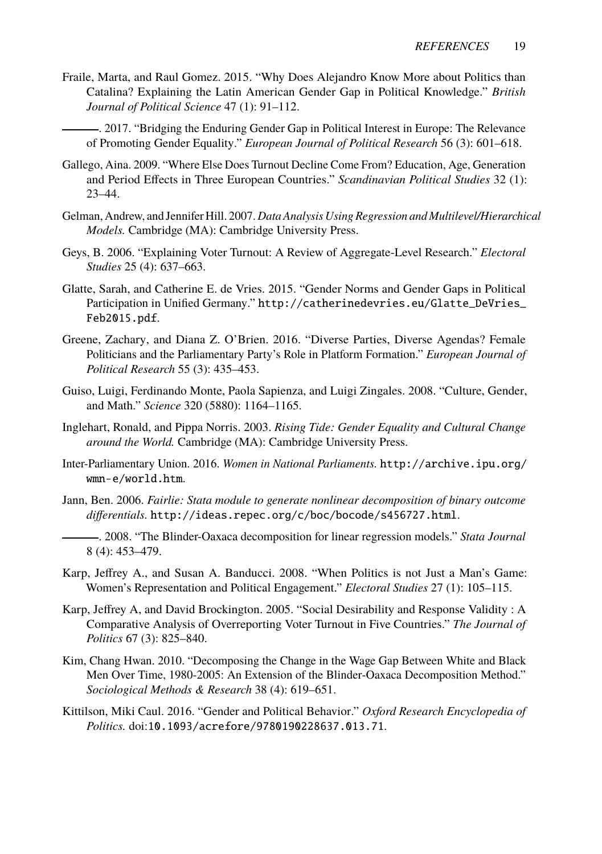- Fraile, Marta, and Raul Gomez. 2015. "Why Does Alejandro Know More about Politics than Catalina? Explaining the Latin American Gender Gap in Political Knowledge." *British Journal of Political Science* 47 (1): 91–112.
	- . 2017. "Bridging the Enduring Gender Gap in Political Interest in Europe: The Relevance of Promoting Gender Equality." *European Journal of Political Research* 56 (3): 601–618.
- Gallego, Aina. 2009. "Where Else Does Turnout Decline Come From? Education, Age, Generation and Period Effects in Three European Countries." *Scandinavian Political Studies* 32 (1): 23–44.
- Gelman, Andrew, and Jennifer Hill. 2007. *Data Analysis Using Regression and Multilevel/Hierarchical Models.* Cambridge (MA): Cambridge University Press.
- Geys, B. 2006. "Explaining Voter Turnout: A Review of Aggregate-Level Research." *Electoral Studies* 25 (4): 637–663.
- Glatte, Sarah, and Catherine E. de Vries. 2015. "Gender Norms and Gender Gaps in Political Participation in Unified Germany." http://catherinedevries.eu/Glatte\_DeVries\_ Feb2015.pdf.
- Greene, Zachary, and Diana Z. O'Brien. 2016. "Diverse Parties, Diverse Agendas? Female Politicians and the Parliamentary Party's Role in Platform Formation." *European Journal of Political Research* 55 (3): 435–453.
- Guiso, Luigi, Ferdinando Monte, Paola Sapienza, and Luigi Zingales. 2008. "Culture, Gender, and Math." *Science* 320 (5880): 1164–1165.
- Inglehart, Ronald, and Pippa Norris. 2003. *Rising Tide: Gender Equality and Cultural Change around the World.* Cambridge (MA): Cambridge University Press.
- Inter-Parliamentary Union. 2016. *Women in National Parliaments.* http://archive.ipu.org/ wmn-e/world.htm.
- Jann, Ben. 2006. *Fairlie: Stata module to generate nonlinear decomposition of binary outcome differentials.* http://ideas.repec.org/c/boc/bocode/s456727.html.
- . 2008. "The Blinder-Oaxaca decomposition for linear regression models." *Stata Journal* 8 (4): 453–479.
- Karp, Jeffrey A., and Susan A. Banducci. 2008. "When Politics is not Just a Man's Game: Women's Representation and Political Engagement." *Electoral Studies* 27 (1): 105–115.
- Karp, Jeffrey A, and David Brockington. 2005. "Social Desirability and Response Validity : A Comparative Analysis of Overreporting Voter Turnout in Five Countries." *The Journal of Politics* 67 (3): 825–840.
- Kim, Chang Hwan. 2010. "Decomposing the Change in the Wage Gap Between White and Black Men Over Time, 1980-2005: An Extension of the Blinder-Oaxaca Decomposition Method." *Sociological Methods & Research* 38 (4): 619–651.
- Kittilson, Miki Caul. 2016. "Gender and Political Behavior." *Oxford Research Encyclopedia of Politics.* doi:10.1093/acrefore/9780190228637.013.71.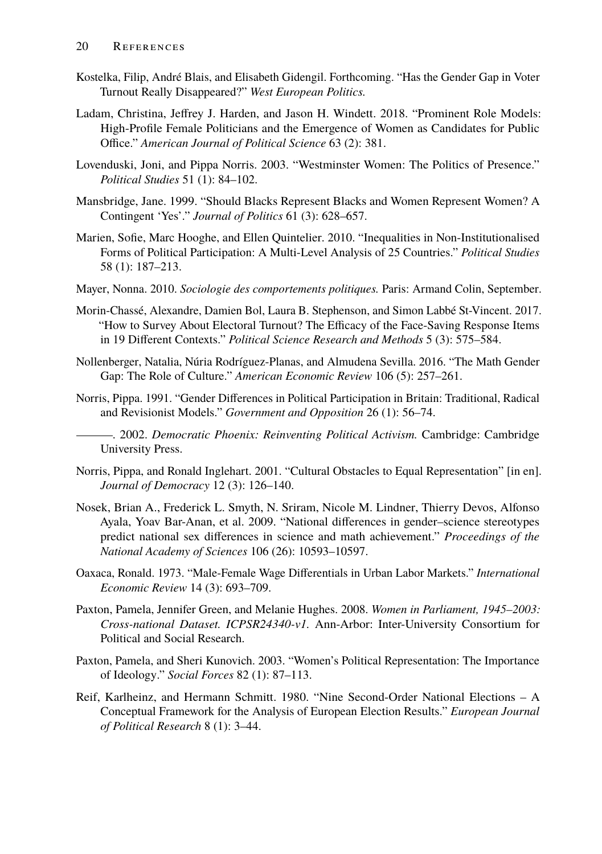- Kostelka, Filip, André Blais, and Elisabeth Gidengil. Forthcoming. "Has the Gender Gap in Voter Turnout Really Disappeared?" *West European Politics.*
- Ladam, Christina, Jeffrey J. Harden, and Jason H. Windett. 2018. "Prominent Role Models: High-Profile Female Politicians and the Emergence of Women as Candidates for Public Office." *American Journal of Political Science* 63 (2): 381.
- Lovenduski, Joni, and Pippa Norris. 2003. "Westminster Women: The Politics of Presence." *Political Studies* 51 (1): 84–102.
- Mansbridge, Jane. 1999. "Should Blacks Represent Blacks and Women Represent Women? A Contingent 'Yes'." *Journal of Politics* 61 (3): 628–657.
- Marien, Sofie, Marc Hooghe, and Ellen Quintelier. 2010. "Inequalities in Non-Institutionalised Forms of Political Participation: A Multi-Level Analysis of 25 Countries." *Political Studies* 58 (1): 187–213.
- Mayer, Nonna. 2010. *Sociologie des comportements politiques.* Paris: Armand Colin, September.
- Morin-Chassé, Alexandre, Damien Bol, Laura B. Stephenson, and Simon Labbé St-Vincent. 2017. "How to Survey About Electoral Turnout? The Efficacy of the Face-Saving Response Items in 19 Different Contexts." *Political Science Research and Methods* 5 (3): 575–584.
- Nollenberger, Natalia, Núria Rodríguez-Planas, and Almudena Sevilla. 2016. "The Math Gender Gap: The Role of Culture." *American Economic Review* 106 (5): 257–261.
- Norris, Pippa. 1991. "Gender Differences in Political Participation in Britain: Traditional, Radical and Revisionist Models." *Government and Opposition* 26 (1): 56–74.
- . 2002. *Democratic Phoenix: Reinventing Political Activism.* Cambridge: Cambridge University Press.
- Norris, Pippa, and Ronald Inglehart. 2001. "Cultural Obstacles to Equal Representation" [in en]. *Journal of Democracy* 12 (3): 126–140.
- Nosek, Brian A., Frederick L. Smyth, N. Sriram, Nicole M. Lindner, Thierry Devos, Alfonso Ayala, Yoav Bar-Anan, et al. 2009. "National differences in gender–science stereotypes predict national sex differences in science and math achievement." *Proceedings of the National Academy of Sciences* 106 (26): 10593–10597.
- Oaxaca, Ronald. 1973. "Male-Female Wage Differentials in Urban Labor Markets." *International Economic Review* 14 (3): 693–709.
- Paxton, Pamela, Jennifer Green, and Melanie Hughes. 2008. *Women in Parliament, 1945–2003: Cross-national Dataset. ICPSR24340-v1.* Ann-Arbor: Inter-University Consortium for Political and Social Research.
- Paxton, Pamela, and Sheri Kunovich. 2003. "Women's Political Representation: The Importance of Ideology." *Social Forces* 82 (1): 87–113.
- Reif, Karlheinz, and Hermann Schmitt. 1980. "Nine Second-Order National Elections A Conceptual Framework for the Analysis of European Election Results." *European Journal of Political Research* 8 (1): 3–44.